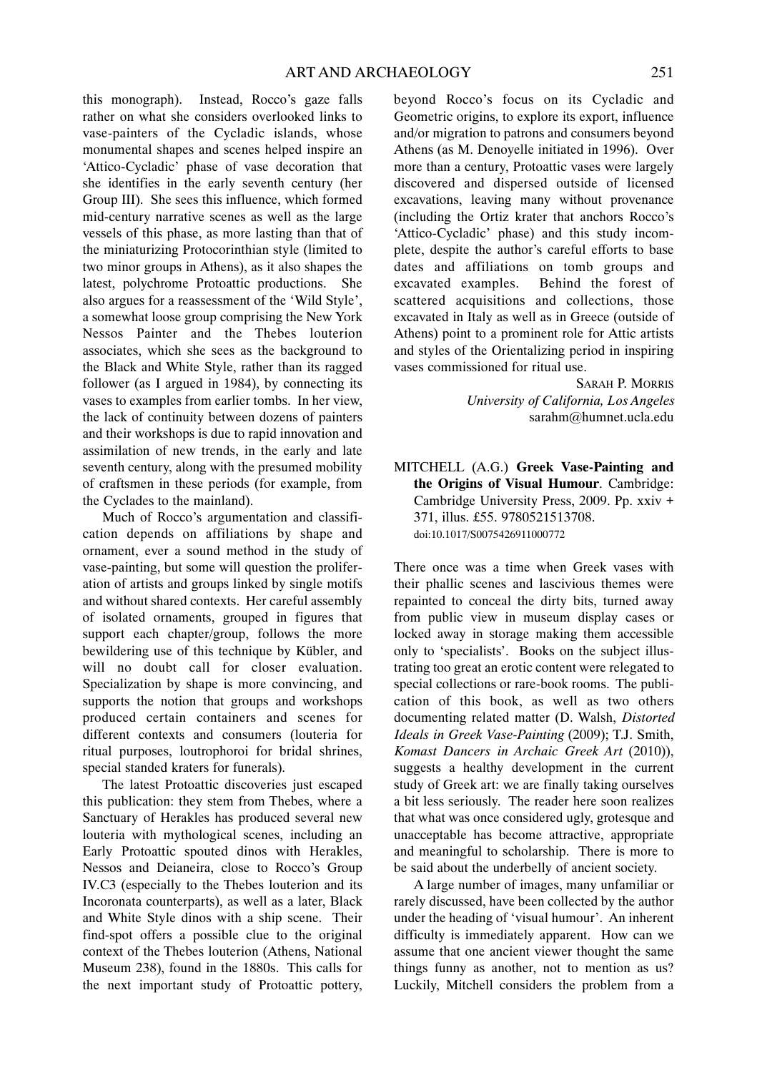this monograph). Instead, Rocco's gaze falls rather on what she considers overlooked links to vase-painters of the Cycladic islands, whose monumental shapes and scenes helped inspire an 'Attico-Cycladic' phase of vase decoration that she identifies in the early seventh century (her Group III). She sees this influence, which formed mid-century narrative scenes as well as the large vessels of this phase, as more lasting than that of the miniaturizing Protocorinthian style (limited to two minor groups in Athens), as it also shapes the latest, polychrome Protoattic productions. She also argues for a reassessment of the 'Wild Style', a somewhat loose group comprising the New York Nessos Painter and the Thebes louterion associates, which she sees as the background to the Black and White Style, rather than its ragged follower (as I argued in 1984), by connecting its vases to examples from earlier tombs. In her view, the lack of continuity between dozens of painters and their workshops is due to rapid innovation and assimilation of new trends, in the early and late seventh century, along with the presumed mobility of craftsmen in these periods (for example, from the Cyclades to the mainland).

Much of Rocco's argumentation and classification depends on affiliations by shape and ornament, ever a sound method in the study of vase-painting, but some will question the proliferation of artists and groups linked by single motifs and without shared contexts. Her careful assembly of isolated ornaments, grouped in figures that support each chapter/group, follows the more bewildering use of this technique by Kübler, and will no doubt call for closer evaluation. Specialization by shape is more convincing, and supports the notion that groups and workshops produced certain containers and scenes for different contexts and consumers (louteria for ritual purposes, loutrophoroi for bridal shrines, special standed kraters for funerals).

The latest Protoattic discoveries just escaped this publication: they stem from Thebes, where a Sanctuary of Herakles has produced several new louteria with mythological scenes, including an Early Protoattic spouted dinos with Herakles, Nessos and Deianeira, close to Rocco's Group IV.C3 (especially to the Thebes louterion and its Incoronata counterparts), as well as a later, Black and White Style dinos with a ship scene. Their find-spot offers a possible clue to the original context of the Thebes louterion (Athens, National Museum 238), found in the 1880s. This calls for the next important study of Protoattic pottery, beyond Rocco's focus on its Cycladic and Geometric origins, to explore its export, influence and/or migration to patrons and consumers beyond Athens (as M. Denoyelle initiated in 1996). Over more than a century, Protoattic vases were largely discovered and dispersed outside of licensed excavations, leaving many without provenance (including the Ortiz krater that anchors Rocco's 'Attico-Cycladic' phase) and this study incomplete, despite the author's careful efforts to base dates and affiliations on tomb groups and excavated examples. Behind the forest of scattered acquisitions and collections, those excavated in Italy as well as in Greece (outside of Athens) point to a prominent role for Attic artists and styles of the Orientalizing period in inspiring vases commissioned for ritual use.

> SARAH P. MORRIS *University of California, Los Angeles* sarahm@humnet.ucla.edu

MITCHELL (A.G.) **Greek Vase-Painting and the Origins of Visual Humour**. Cambridge: Cambridge University Press, 2009. Pp. xxiv + 371, illus. £55. 9780521513708. doi:10.1017/S0075426911000772

There once was a time when Greek vases with their phallic scenes and lascivious themes were repainted to conceal the dirty bits, turned away from public view in museum display cases or locked away in storage making them accessible only to 'specialists'. Books on the subject illustrating too great an erotic content were relegated to special collections or rare-book rooms. The publication of this book, as well as two others documenting related matter (D. Walsh, *Distorted Ideals in Greek Vase-Painting* (2009); T.J. Smith, *Komast Dancers in Archaic Greek Art* (2010)), suggests a healthy development in the current study of Greek art: we are finally taking ourselves a bit less seriously. The reader here soon realizes that what was once considered ugly, grotesque and unacceptable has become attractive, appropriate and meaningful to scholarship. There is more to be said about the underbelly of ancient society.

A large number of images, many unfamiliar or rarely discussed, have been collected by the author under the heading of 'visual humour'. An inherent difficulty is immediately apparent. How can we assume that one ancient viewer thought the same things funny as another, not to mention as us? Luckily, Mitchell considers the problem from a